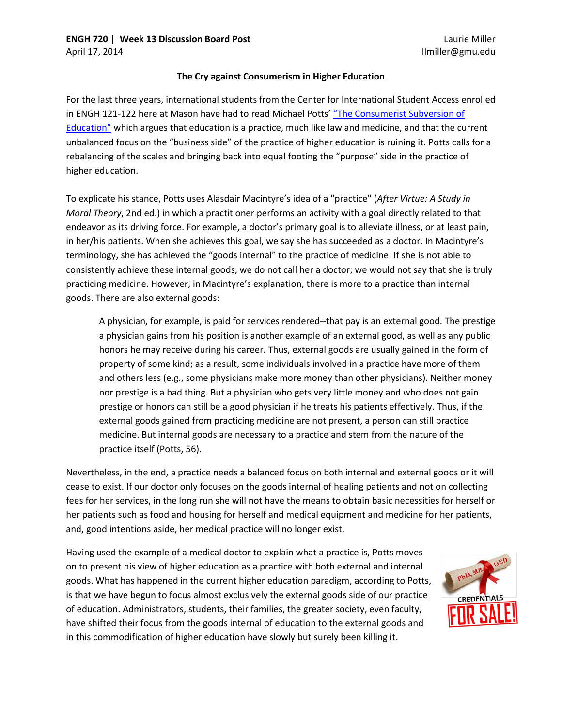## **The Cry against Consumerism in Higher Education**

For the last three years, international students from the Center for International Student Access enrolled in ENGH 121-122 here at Mason have had to read Michael Potts' ["The Consumerist Subversion of](http://eric.ed.gov/?id=EJ844793)  [Education"](http://eric.ed.gov/?id=EJ844793) which argues that education is a practice, much like law and medicine, and that the current unbalanced focus on the "business side" of the practice of higher education is ruining it. Potts calls for a rebalancing of the scales and bringing back into equal footing the "purpose" side in the practice of higher education.

To explicate his stance, Potts uses Alasdair Macintyre's idea of a "practice" (*After Virtue: A Study in Moral Theory*, 2nd ed.) in which a practitioner performs an activity with a goal directly related to that endeavor as its driving force. For example, a doctor's primary goal is to alleviate illness, or at least pain, in her/his patients. When she achieves this goal, we say she has succeeded as a doctor. In Macintyre's terminology, she has achieved the "goods internal" to the practice of medicine. If she is not able to consistently achieve these internal goods, we do not call her a doctor; we would not say that she is truly practicing medicine. However, in Macintyre's explanation, there is more to a practice than internal goods. There are also external goods:

A physician, for example, is paid for services rendered--that pay is an external good. The prestige a physician gains from his position is another example of an external good, as well as any public honors he may receive during his career. Thus, external goods are usually gained in the form of property of some kind; as a result, some individuals involved in a practice have more of them and others less (e.g., some physicians make more money than other physicians). Neither money nor prestige is a bad thing. But a physician who gets very little money and who does not gain prestige or honors can still be a good physician if he treats his patients effectively. Thus, if the external goods gained from practicing medicine are not present, a person can still practice medicine. But internal goods are necessary to a practice and stem from the nature of the practice itself (Potts, 56).

Nevertheless, in the end, a practice needs a balanced focus on both internal and external goods or it will cease to exist. If our doctor only focuses on the goods internal of healing patients and not on collecting fees for her services, in the long run she will not have the means to obtain basic necessities for herself or her patients such as food and housing for herself and medical equipment and medicine for her patients, and, good intentions aside, her medical practice will no longer exist.

Having used the example of a medical doctor to explain what a practice is, Potts moves on to present his view of higher education as a practice with both external and internal goods. What has happened in the current higher education paradigm, according to Potts, is that we have begun to focus almost exclusively the external goods side of our practice of education. Administrators, students, their families, the greater society, even faculty, have shifted their focus from the goods internal of education to the external goods and in this commodification of higher education have slowly but surely been killing it.

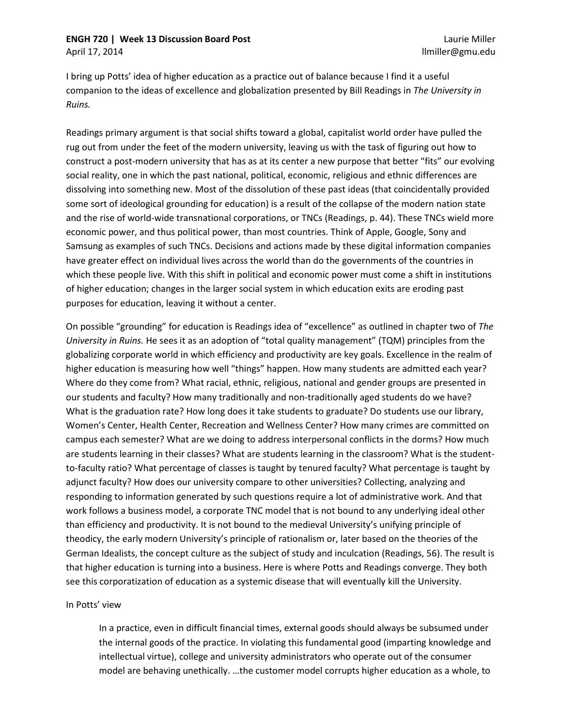## **ENGH 720 | Week 13 Discussion Board Post**

I bring up Potts' idea of higher education as a practice out of balance because I find it a useful companion to the ideas of excellence and globalization presented by Bill Readings in *The University in Ruins.*

Readings primary argument is that social shifts toward a global, capitalist world order have pulled the rug out from under the feet of the modern university, leaving us with the task of figuring out how to construct a post-modern university that has as at its center a new purpose that better "fits" our evolving social reality, one in which the past national, political, economic, religious and ethnic differences are dissolving into something new. Most of the dissolution of these past ideas (that coincidentally provided some sort of ideological grounding for education) is a result of the collapse of the modern nation state and the rise of world-wide transnational corporations, or TNCs (Readings, p. 44). These TNCs wield more economic power, and thus political power, than most countries. Think of Apple, Google, Sony and Samsung as examples of such TNCs. Decisions and actions made by these digital information companies have greater effect on individual lives across the world than do the governments of the countries in which these people live. With this shift in political and economic power must come a shift in institutions of higher education; changes in the larger social system in which education exits are eroding past purposes for education, leaving it without a center.

On possible "grounding" for education is Readings idea of "excellence" as outlined in chapter two of *The University in Ruins.* He sees it as an adoption of "total quality management" (TQM) principles from the globalizing corporate world in which efficiency and productivity are key goals. Excellence in the realm of higher education is measuring how well "things" happen. How many students are admitted each year? Where do they come from? What racial, ethnic, religious, national and gender groups are presented in our students and faculty? How many traditionally and non-traditionally aged students do we have? What is the graduation rate? How long does it take students to graduate? Do students use our library, Women's Center, Health Center, Recreation and Wellness Center? How many crimes are committed on campus each semester? What are we doing to address interpersonal conflicts in the dorms? How much are students learning in their classes? What are students learning in the classroom? What is the studentto-faculty ratio? What percentage of classes is taught by tenured faculty? What percentage is taught by adjunct faculty? How does our university compare to other universities? Collecting, analyzing and responding to information generated by such questions require a lot of administrative work. And that work follows a business model, a corporate TNC model that is not bound to any underlying ideal other than efficiency and productivity. It is not bound to the medieval University's unifying principle of theodicy, the early modern University's principle of rationalism or, later based on the theories of the German Idealists, the concept culture as the subject of study and inculcation (Readings, 56). The result is that higher education is turning into a business. Here is where Potts and Readings converge. They both see this corporatization of education as a systemic disease that will eventually kill the University.

## In Potts' view

In a practice, even in difficult financial times, external goods should always be subsumed under the internal goods of the practice. In violating this fundamental good (imparting knowledge and intellectual virtue), college and university administrators who operate out of the consumer model are behaving unethically. …the customer model corrupts higher education as a whole, to